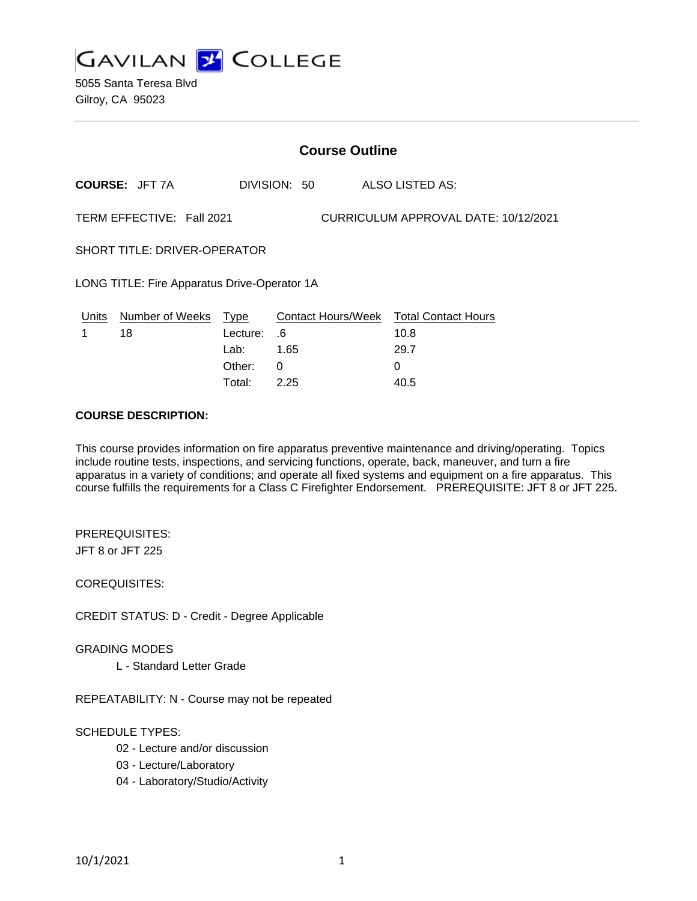

5055 Santa Teresa Blvd Gilroy, CA 95023

|                                                                   | <b>Course Outline</b> |          |              |                                        |  |
|-------------------------------------------------------------------|-----------------------|----------|--------------|----------------------------------------|--|
|                                                                   | <b>COURSE: JFT 7A</b> |          | DIVISION: 50 | <b>ALSO LISTED AS:</b>                 |  |
| TERM EFFECTIVE: Fall 2021<br>CURRICULUM APPROVAL DATE: 10/12/2021 |                       |          |              |                                        |  |
| <b>SHORT TITLE: DRIVER-OPERATOR</b>                               |                       |          |              |                                        |  |
| LONG TITLE: Fire Apparatus Drive-Operator 1A                      |                       |          |              |                                        |  |
| Units                                                             | Number of Weeks Type  |          |              | Contact Hours/Week Total Contact Hours |  |
| 1                                                                 | 18                    | Lecture: | .6           | 10.8                                   |  |
|                                                                   |                       | Lab:     | 1.65         | 29.7                                   |  |
|                                                                   |                       | Other:   | 0            | $\Omega$                               |  |
|                                                                   |                       | Total:   | 2.25         | 40.5                                   |  |

#### **COURSE DESCRIPTION:**

This course provides information on fire apparatus preventive maintenance and driving/operating. Topics include routine tests, inspections, and servicing functions, operate, back, maneuver, and turn a fire apparatus in a variety of conditions; and operate all fixed systems and equipment on a fire apparatus. This course fulfills the requirements for a Class C Firefighter Endorsement. PREREQUISITE: JFT 8 or JFT 225.

PREREQUISITES: JFT 8 or JFT 225

COREQUISITES:

CREDIT STATUS: D - Credit - Degree Applicable

#### GRADING MODES

L - Standard Letter Grade

REPEATABILITY: N - Course may not be repeated

### SCHEDULE TYPES:

- 02 Lecture and/or discussion
- 03 Lecture/Laboratory
- 04 Laboratory/Studio/Activity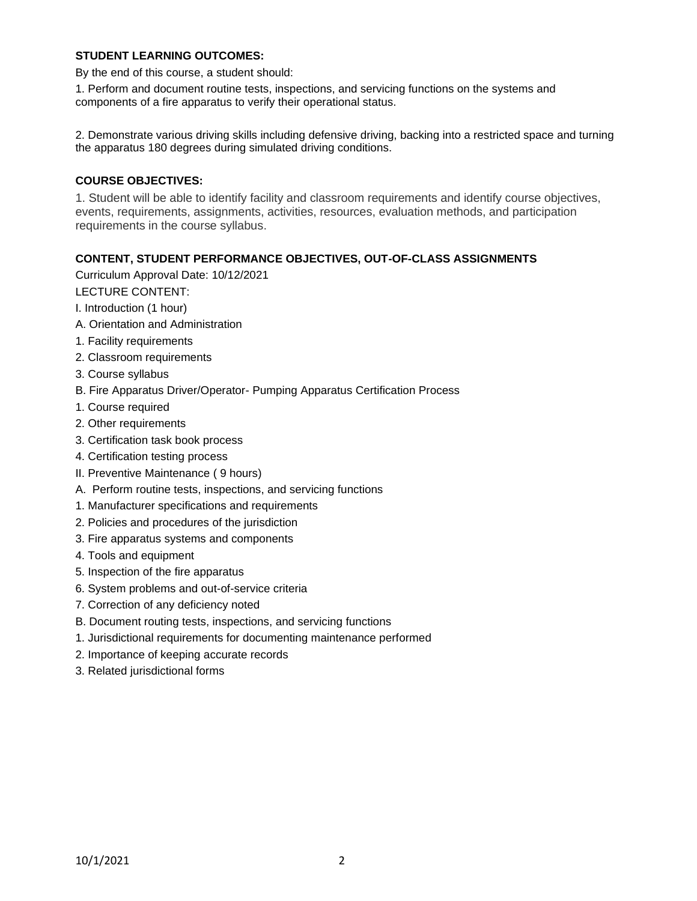### **STUDENT LEARNING OUTCOMES:**

By the end of this course, a student should:

1. Perform and document routine tests, inspections, and servicing functions on the systems and components of a fire apparatus to verify their operational status.

2. Demonstrate various driving skills including defensive driving, backing into a restricted space and turning the apparatus 180 degrees during simulated driving conditions.

### **COURSE OBJECTIVES:**

1. Student will be able to identify facility and classroom requirements and identify course objectives, events, requirements, assignments, activities, resources, evaluation methods, and participation requirements in the course syllabus.

# **CONTENT, STUDENT PERFORMANCE OBJECTIVES, OUT-OF-CLASS ASSIGNMENTS**

Curriculum Approval Date: 10/12/2021

LECTURE CONTENT:

- I. Introduction (1 hour)
- A. Orientation and Administration
- 1. Facility requirements
- 2. Classroom requirements
- 3. Course syllabus
- B. Fire Apparatus Driver/Operator- Pumping Apparatus Certification Process
- 1. Course required
- 2. Other requirements
- 3. Certification task book process
- 4. Certification testing process
- II. Preventive Maintenance ( 9 hours)
- A. Perform routine tests, inspections, and servicing functions
- 1. Manufacturer specifications and requirements
- 2. Policies and procedures of the jurisdiction
- 3. Fire apparatus systems and components
- 4. Tools and equipment
- 5. Inspection of the fire apparatus
- 6. System problems and out-of-service criteria
- 7. Correction of any deficiency noted
- B. Document routing tests, inspections, and servicing functions
- 1. Jurisdictional requirements for documenting maintenance performed
- 2. Importance of keeping accurate records
- 3. Related jurisdictional forms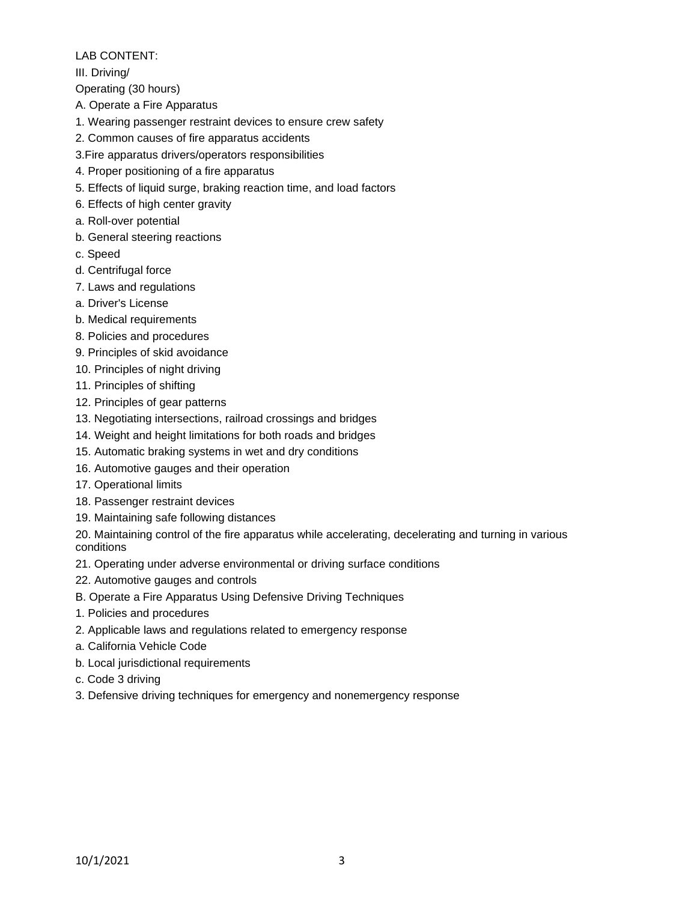# LAB CONTENT:

III. Driving/

Operating (30 hours)

- A. Operate a Fire Apparatus
- 1. Wearing passenger restraint devices to ensure crew safety
- 2. Common causes of fire apparatus accidents
- 3.Fire apparatus drivers/operators responsibilities
- 4. Proper positioning of a fire apparatus
- 5. Effects of liquid surge, braking reaction time, and load factors
- 6. Effects of high center gravity
- a. Roll-over potential
- b. General steering reactions
- c. Speed
- d. Centrifugal force
- 7. Laws and regulations
- a. Driver's License
- b. Medical requirements
- 8. Policies and procedures
- 9. Principles of skid avoidance
- 10. Principles of night driving
- 11. Principles of shifting
- 12. Principles of gear patterns
- 13. Negotiating intersections, railroad crossings and bridges
- 14. Weight and height limitations for both roads and bridges
- 15. Automatic braking systems in wet and dry conditions
- 16. Automotive gauges and their operation
- 17. Operational limits
- 18. Passenger restraint devices
- 19. Maintaining safe following distances

20. Maintaining control of the fire apparatus while accelerating, decelerating and turning in various conditions

- 21. Operating under adverse environmental or driving surface conditions
- 22. Automotive gauges and controls
- B. Operate a Fire Apparatus Using Defensive Driving Techniques
- 1. Policies and procedures
- 2. Applicable laws and regulations related to emergency response
- a. California Vehicle Code
- b. Local jurisdictional requirements
- c. Code 3 driving
- 3. Defensive driving techniques for emergency and nonemergency response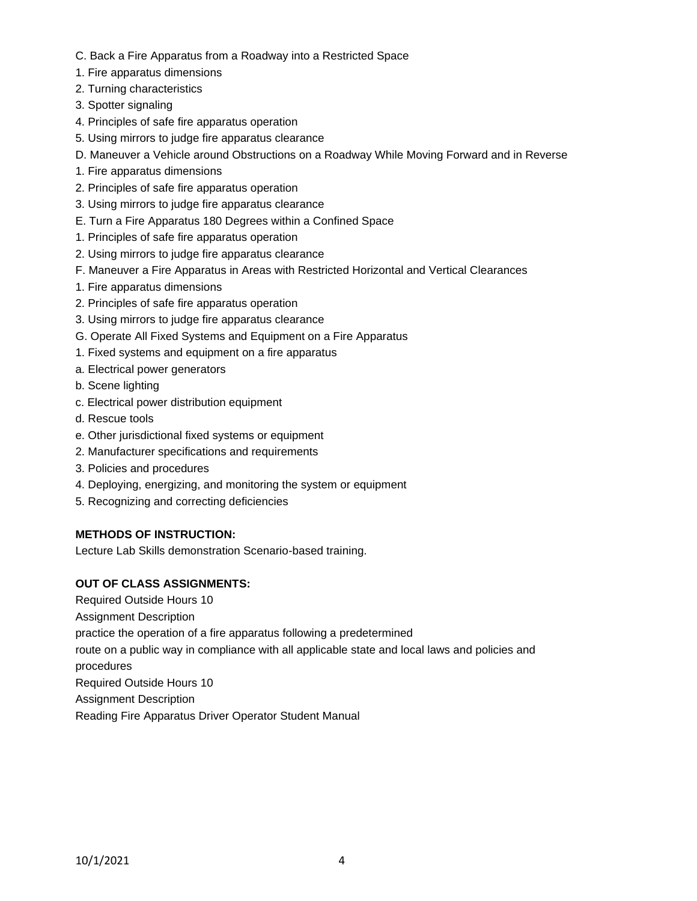- C. Back a Fire Apparatus from a Roadway into a Restricted Space
- 1. Fire apparatus dimensions
- 2. Turning characteristics
- 3. Spotter signaling
- 4. Principles of safe fire apparatus operation
- 5. Using mirrors to judge fire apparatus clearance
- D. Maneuver a Vehicle around Obstructions on a Roadway While Moving Forward and in Reverse
- 1. Fire apparatus dimensions
- 2. Principles of safe fire apparatus operation
- 3. Using mirrors to judge fire apparatus clearance
- E. Turn a Fire Apparatus 180 Degrees within a Confined Space
- 1. Principles of safe fire apparatus operation
- 2. Using mirrors to judge fire apparatus clearance
- F. Maneuver a Fire Apparatus in Areas with Restricted Horizontal and Vertical Clearances
- 1. Fire apparatus dimensions
- 2. Principles of safe fire apparatus operation
- 3. Using mirrors to judge fire apparatus clearance
- G. Operate All Fixed Systems and Equipment on a Fire Apparatus
- 1. Fixed systems and equipment on a fire apparatus
- a. Electrical power generators
- b. Scene lighting
- c. Electrical power distribution equipment
- d. Rescue tools
- e. Other jurisdictional fixed systems or equipment
- 2. Manufacturer specifications and requirements
- 3. Policies and procedures
- 4. Deploying, energizing, and monitoring the system or equipment
- 5. Recognizing and correcting deficiencies

# **METHODS OF INSTRUCTION:**

Lecture Lab Skills demonstration Scenario-based training.

# **OUT OF CLASS ASSIGNMENTS:**

Required Outside Hours 10

Assignment Description

practice the operation of a fire apparatus following a predetermined

route on a public way in compliance with all applicable state and local laws and policies and

procedures

Required Outside Hours 10

Assignment Description

Reading Fire Apparatus Driver Operator Student Manual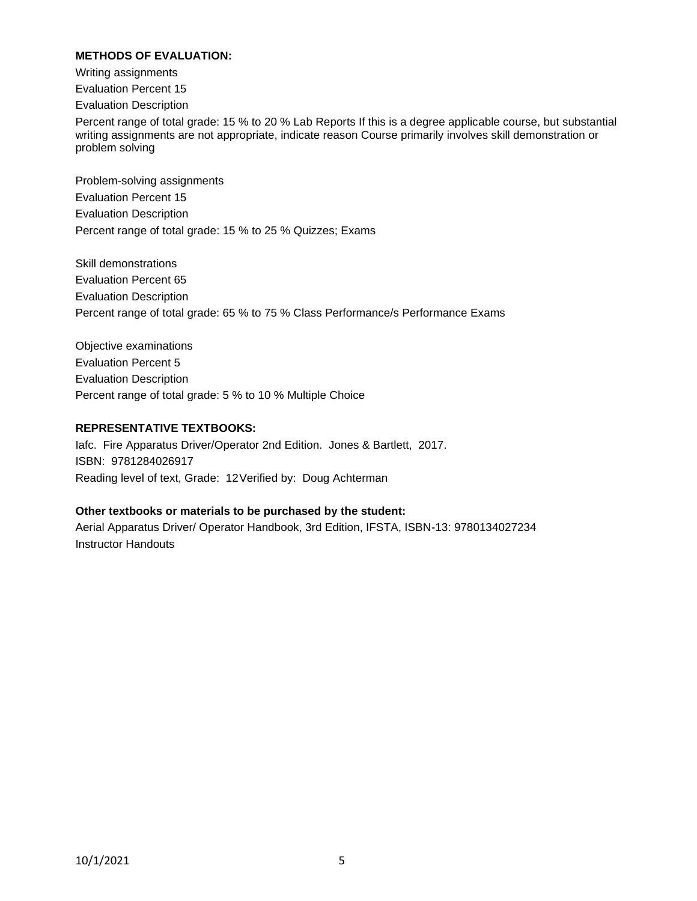### **METHODS OF EVALUATION:**

Writing assignments

Evaluation Percent 15

Evaluation Description

Percent range of total grade: 15 % to 20 % Lab Reports If this is a degree applicable course, but substantial writing assignments are not appropriate, indicate reason Course primarily involves skill demonstration or problem solving

Problem-solving assignments Evaluation Percent 15 Evaluation Description Percent range of total grade: 15 % to 25 % Quizzes; Exams

Skill demonstrations Evaluation Percent 65 Evaluation Description Percent range of total grade: 65 % to 75 % Class Performance/s Performance Exams

Objective examinations Evaluation Percent 5 Evaluation Description Percent range of total grade: 5 % to 10 % Multiple Choice

# **REPRESENTATIVE TEXTBOOKS:**

Iafc. Fire Apparatus Driver/Operator 2nd Edition. Jones & Bartlett, 2017. ISBN: 9781284026917 Reading level of text, Grade: 12Verified by: Doug Achterman

### **Other textbooks or materials to be purchased by the student:**

Aerial Apparatus Driver/ Operator Handbook, 3rd Edition, IFSTA, ISBN-13: 9780134027234 Instructor Handouts